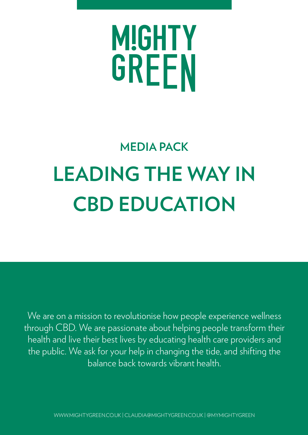## MIGHTY GREEN

## **MEDIA PACK LEADING THE WAY IN CBD EDUCATION**

We are on a mission to revolutionise how people experience wellness through CBD. We are passionate about helping people transform their health and live their best lives by educating health care providers and the public. We ask for your help in changing the tide, and shifting the balance back towards vibrant health.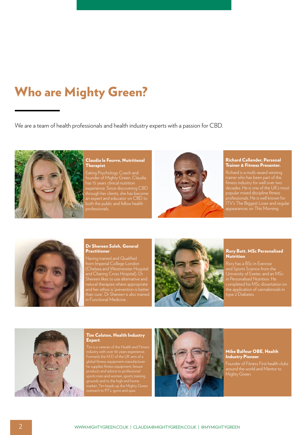#### Who are Mighty Green?

We are a team of health professionals and health industry experts with a passion for CBD.



#### Claudia le Feuvre, Nutritional Therapist.

Eating Psychology Coach and founder of Mighty Green. Claudia has 15 years clinical nutrition experience. Since discovering CBD through her clients, she has become an expert and educator on CBD to both the public and fellow health professionals.



#### Richard Callender, Personal Trainer & Fitness Presenter.

popular mixed discipline fitness professionals. He is well known for ITV's The Biggest Loser and regular appearances on This Morning.



#### Dr Shereen Saleh, General Practitioner.

Having trained and Qualified from Imperial College London (Chelsea and Westminster Hospital and Charing Cross Hospital). Dr Shereen likes to use alternative and natural therapies where appropriate than cure'. Dr Shereen is also trained



#### Rory Batt, MSc Personalised Nutrition.

Rory has a BSc in Exercise and Sports Science from the University of Exeter, and an MSc the application of cannabinoids in type 2 Diabetes.



#### Tim Colston, Health Industry Expert.

Tim is a veteran of the Health and Fitness Formerly the M.D of the UK arm of a he supplies fitness equipment, leisure products and advice to professional outreach to PT's, gyms and spas.



#### Mike Balfour OBE, Health Industry Pioneer.

Founder of Fitness First health clubs Mighty Green.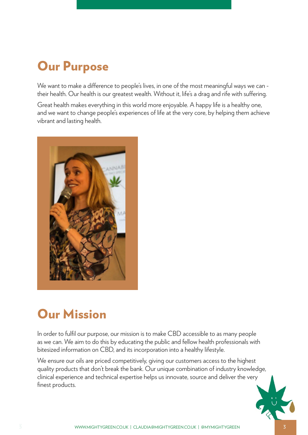## Our Purpose

We want to make a difference to people's lives, in one of the most meaningful ways we can their health. Our health is our greatest wealth. Without it, life's a drag and rife with suffering.

Great health makes everything in this world more enjoyable. A happy life is a healthy one, and we want to change people's experiences of life at the very core, by helping them achieve vibrant and lasting health.



#### Our Mission

In order to fulfil our purpose, our mission is to make CBD accessible to as many people as we can. We aim to do this by educating the public and fellow health professionals with bitesized information on CBD, and its incorporation into a healthy lifestyle.

We ensure our oils are priced competitively, giving our customers access to the highest quality products that don't break the bank. Our unique combination of industry knowledge, clinical experience and technical expertise helps us innovate, source and deliver the very finest products.

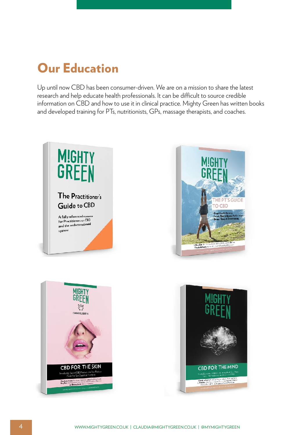#### Our Education

Up until now CBD has been consumer-driven. We are on a mission to share the latest research and help educate health professionals. It can be difficult to source credible information on CBD and how to use it in clinical practice. Mighty Green has written books and developed training for PTs, nutritionists, GPs, massage therapists, and coaches.





THE PT'S GUIDE

O CBD

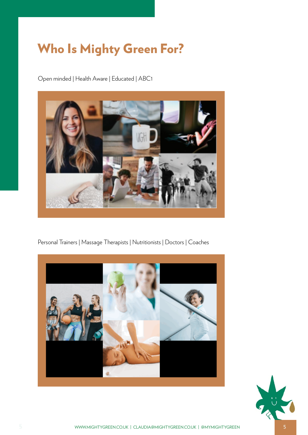#### Who Is Mighty Green For?

Open minded | Health Aware | Educated | ABC1



Personal Trainers | Massage Therapists | Nutritionists | Doctors | Coaches



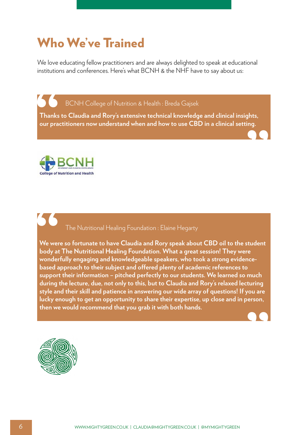#### Who We've Trained

We love educating fellow practitioners and are always delighted to speak at educational institutions and conferences. Here's what BCNH & the NHF have to say about us:

BCNH College of Nutrition & Health : Breda Gajsek

**Thanks to Claudia and Rory's extensive technical knowledge and clinical insights, our practitioners now understand when and how to use CBD in a clinical setting. S**<br>Thanks<br>our pract **hts,<br>ng.**<br>● ● ● ●



## The Nutritional Healing Foundation : Elaine Hegarty

**We were so fortunate to have Claudia and Rory speak about CBD oil to the student body at The Nutritional Healing Foundation. What a great session! They were wonderfully engaging and knowledgeable speakers, who took a strong evidencebased approach to their subject and offered plenty of academic references to support their information – pitched perfectly to our students. We learned so much during the lecture, due, not only to this, but to Claudia and Rory's relaxed lecturing style and their skill and patience in answering our wide array of questions! If you are lucky enough to get an opportunity to share their expertise, up close and in person, then we would recommend that you grab it with both hands. Solution**<br>
We were<br>
body at<br>
wonder<br>
based a<br>
support

**"**

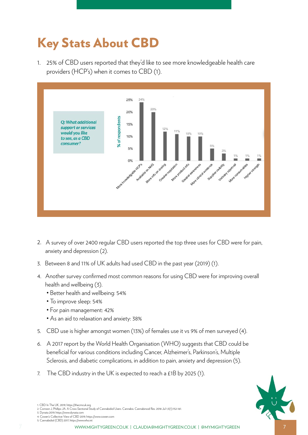## Key Stats About CBD

1. 25% of CBD users reported that they'd like to see more knowledgeable health care providers (HCP's) when it comes to CBD (1).



- 2. A survey of over 2400 regular CBD users reported the top three uses for CBD were for pain, anxiety and depression (2).
- 3. Between 8 and 11% of UK adults had used CBD in the past year (2019) (1).
- 4. Another survey confirmed most common reasons for using CBD were for improving overall health and wellbeing (3).
	- Better health and wellbeing: 54%
	- To improve sleep: 54%
	- For pain management: 42%
	- As an aid to relaxation and anxiety: 38%
- 5. CBD use is higher amongst women (13%) of females use it vs 9% of men surveyed (4).
- 6. A 2017 report by the World Health Organisation (WHO) suggests that CBD could be beneficial for various conditions including Cancer, Alzheimer's, Parkinson's, Multiple Sclerosis, and diabetic complications, in addition to pain, anxiety and depression (5).
- 7. The CBD industry in the UK is expected to reach a £1B by 2025 (1).



1. CBD In The UK, 2019, https://thecmcuk.org

- 3. Dynata 2019, https://www.dynata.com 4. Cowen's Collective View of CBD 2019, https://www.cowen.com
- 5. Cannabidiol (CBD) 2017, https://www.who.int

<sup>2.</sup> Corroon J, Phillips JA. A Cross-Sectional Study of Cannabidiol Users. Cannabis. Cannabinoid Res. 2018 Jul 1;3(1):152-161.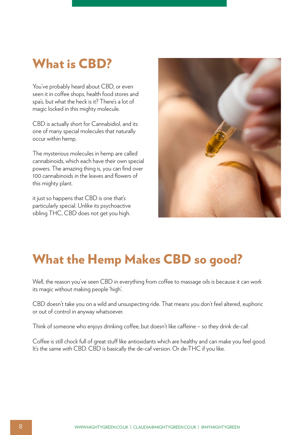#### What is CBD?

You've probably heard about CBD, or even seen it in coffee shops, health food stores and spa's, but what the heck is it? There's a lot of magic locked in this mighty molecule.

CBD is actually short for Cannabidiol, and its one of many special molecules that naturally occur within hemp.

The mysterious molecules in hemp are called cannabinoids, which each have their own special powers. The amazing thing is, you can find over 100 cannabinoids in the leaves and flowers of this mighty plant.

it just so happens that CBD is one that's particularly special. Unlike its psychoactive sibling THC, CBD does not get you high.



#### What the Hemp Makes CBD so good?

Well, the reason you've seen CBD in everything from coffee to massage oils is because it can work its magic without making people 'high'.

CBD doesn't take you on a wild and unsuspecting ride. That means you don't feel altered, euphoric or out of control in anyway whatsoever.

Think of someone who enjoys drinking coffee, but doesn't like caffeine – so they drink de-caf.

Coffee is still chock full of great stuff like antioxidants which are healthy and can make you feel good. It's the same with CBD. CBD is basically the de-caf version. Or de-THC if you like.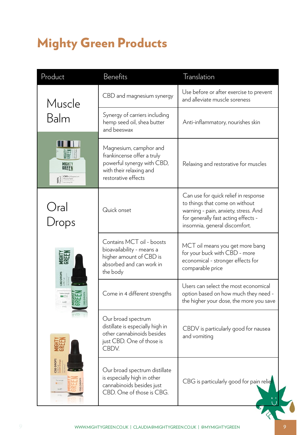## Mighty Green Products

| Product                           | Benefits                                                                                                                             | Translation                                                                                                                                                                            |
|-----------------------------------|--------------------------------------------------------------------------------------------------------------------------------------|----------------------------------------------------------------------------------------------------------------------------------------------------------------------------------------|
| Muscle<br>Balm                    | CBD and magnesium synergy                                                                                                            | Use before or after exercise to prevent<br>and alleviate muscle soreness                                                                                                               |
|                                   | Synergy of carriers including<br>hemp seed oil, shea butter<br>and beeswax                                                           | Anti-inflammatory, nourishes skin                                                                                                                                                      |
| <b>MIGHT</b><br>GREFN             | Magnesium, camphor and<br>frankincense offer a truly<br>powerful synergy with CBD,<br>with their relaxing and<br>restorative effects | Relaxing and restorative for muscles                                                                                                                                                   |
| Oral<br>Drops                     | Quick onset                                                                                                                          | Can use for quick relief in response<br>to things that come on without<br>warning - pain, anxiety, stress. And<br>for generally fast acting effects -<br>insomnia, general discomfort. |
| <b>GONO DE</b><br><b>BD DROPS</b> | Contains MCT oil - boosts<br>bioavailability - means a<br>higher amount of CBD is<br>absorbed and can work in<br>the body            | MCT oil means you get more bang<br>for your buck with CBD - more<br>economical - stronger effects for<br>comparable price                                                              |
|                                   | Come in 4 different strengths                                                                                                        | Users can select the most economical<br>option based on how much they need -<br>the higher your dose, the more you save                                                                |
|                                   | Our broad spectrum<br>distillate is especially high in<br>other cannabinoids besides<br>just CBD. One of those is<br>CBDV.           | CBDV is particularly good for nausea<br>and vomiting                                                                                                                                   |
|                                   | Our broad spectrum distillate<br>is especially high in other<br>cannabinoids besides just<br>CBD. One of those is CBG.               | CBG is particularly good for pain relief                                                                                                                                               |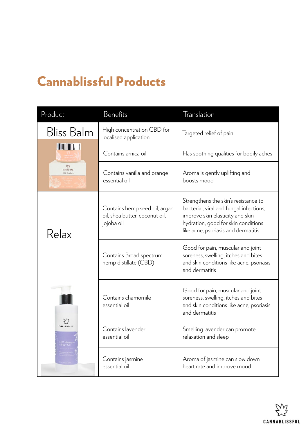## Cannablissful Products

| Product                                        | Benefits                                                                      | Translation                                                                                                                                                                                       |
|------------------------------------------------|-------------------------------------------------------------------------------|---------------------------------------------------------------------------------------------------------------------------------------------------------------------------------------------------|
| <b>Bliss Balm</b>                              | High concentration CBD for<br>localised application                           | Targeted relief of pain                                                                                                                                                                           |
| CANNABLISSFU<br>CBD Blus Balt                  | Contains arnica oil                                                           | Has soothing qualities for bodily aches                                                                                                                                                           |
|                                                | Contains vanilla and orange<br>essential oil                                  | Aroma is gently uplifting and<br>boosts mood                                                                                                                                                      |
| Relax                                          | Contains hemp seed oil, argan<br>oil, shea butter, coconut oil,<br>jojoba oil | Strengthens the skin's resistance to<br>bacterial, viral and fungal infections,<br>improve skin elasticity and skin<br>hydration, good for skin conditions<br>like acne, psoriasis and dermatitis |
|                                                | Contains Broad spectrum<br>hemp distillate (CBD)                              | Good for pain, muscular and joint<br>soreness, swelling, itches and bites<br>and skin conditions like acne, psoriasis<br>and dermatitis                                                           |
| 53<br>CANNABLISSFUL<br>CBD Massa<br>& Body Oil | Contains chamomile<br>essential oil                                           | Good for pain, muscular and joint<br>soreness, swelling, itches and bites<br>and skin conditions like acne, psoriasis<br>and dermatitis                                                           |
|                                                | Contains lavender<br>essential oil                                            | Smelling lavender can promote<br>relaxation and sleep                                                                                                                                             |
|                                                | Contains jasmine<br>essential oil                                             | Aroma of jasmine can slow down<br>heart rate and improve mood                                                                                                                                     |

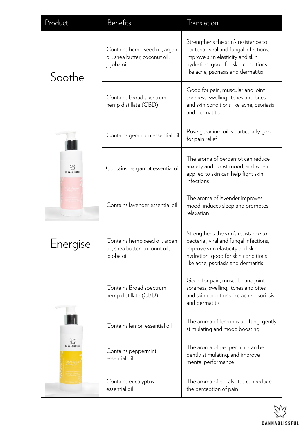| Product                    | <b>Benefits</b>                                                               | Translation                                                                                                                                                                                       |
|----------------------------|-------------------------------------------------------------------------------|---------------------------------------------------------------------------------------------------------------------------------------------------------------------------------------------------|
| Soothe                     | Contains hemp seed oil, argan<br>oil, shea butter, coconut oil,<br>jojoba oil | Strengthens the skin's resistance to<br>bacterial, viral and fungal infections,<br>improve skin elasticity and skin<br>hydration, good for skin conditions<br>like acne, psoriasis and dermatitis |
|                            | Contains Broad spectrum<br>hemp distillate (CBD)                              | Good for pain, muscular and joint<br>soreness, swelling, itches and bites<br>and skin conditions like acne, psoriasis<br>and dermatitis                                                           |
| CANNABLISSFI               | Contains geranium essential oil                                               | Rose geranium oil is particularly good<br>for pain relief                                                                                                                                         |
|                            | Contains bergamot essential oil                                               | The aroma of bergamot can reduce<br>anxiety and boost mood, and when<br>applied to skin can help fight skin<br>infections                                                                         |
|                            | Contains lavender essential oil                                               | The aroma of lavender improves<br>mood, induces sleep and promotes<br>relaxation                                                                                                                  |
| nergise                    | Contains hemp seed oil, argan<br>oil, shea butter, coconut oil,<br>jojoba oil | Strengthens the skin's resistance to<br>bacterial, viral and fungal infections,<br>improve skin elasticity and skin<br>hydration, good for skin conditions<br>like acne, psoriasis and dermatitis |
|                            | Contains Broad spectrum<br>hemp distillate (CBD)                              | Good for pain, muscular and joint<br>soreness, swelling, itches and bites<br>and skin conditions like acne, psoriasis<br>and dermatitis                                                           |
| EZ<br><b>CANNABLISSFUL</b> | Contains lemon essential oil                                                  | The aroma of lemon is uplifting, gently<br>stimulating and mood boosting                                                                                                                          |
|                            | Contains peppermint<br>essential oil                                          | The aroma of peppermint can be<br>gently stimulating, and improve<br>mental performance                                                                                                           |
|                            | Contains eucalyptus<br>essential oil                                          | The aroma of eucalyptus can reduce<br>the perception of pain                                                                                                                                      |